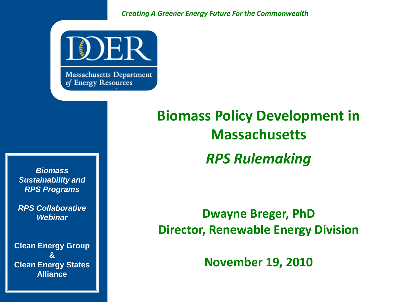*Creating A Greener Energy Future For the Commonwealth*



**Massachusetts Department** of Energy Resources

*Biomass Sustainability and RPS Programs*

*RPS Collaborative Webinar*

**Clean Energy Group & Clean Energy States Alliance**

### **Biomass Policy Development in Massachusetts** *RPS Rulemaking*

### **Dwayne Breger, PhD Director, Renewable Energy Division**

**November 19, 2010**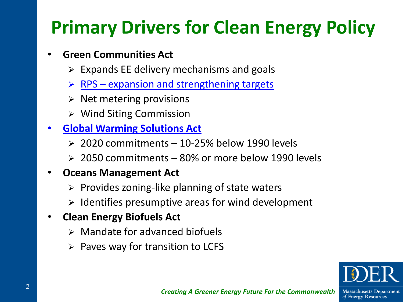## **Primary Drivers for Clean Energy Policy**

### • **Green Communities Act**

- $\triangleright$  Expands EE delivery mechanisms and goals
- $\triangleright$  RPS expansion and strengthening targets
- $\triangleright$  Net metering provisions
- Wind Siting Commission
- **Global Warming Solutions Act**
	- $\geq 2020$  commitments 10-25% below 1990 levels
	- $\geq 2050$  commitments 80% or more below 1990 levels

### • **Oceans Management Act**

- $\triangleright$  Provides zoning-like planning of state waters
- $\triangleright$  Identifies presumptive areas for wind development

### • **Clean Energy Biofuels Act**

- $\triangleright$  Mandate for advanced biofuels
- $\triangleright$  Paves way for transition to LCFS



of Energy Resources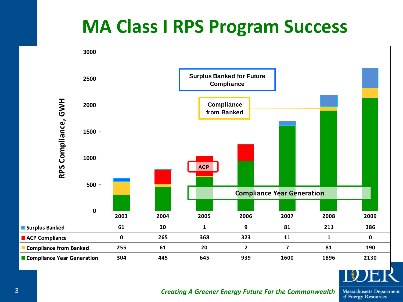### **MA Class I RPS Program Success**





**Massachusetts Department** of Energy Resources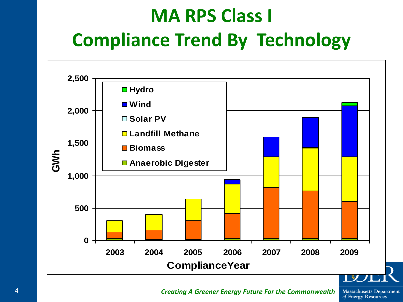## **MA RPS Class I Compliance Trend By Technology**



4 *Creating A Greener Energy Future For the Commonwealth*

**Massachusetts Department** of Energy Resources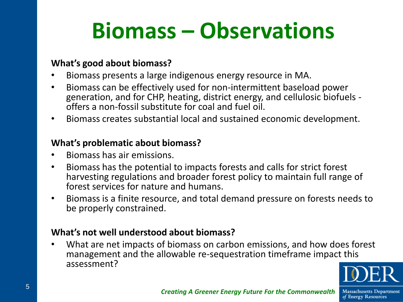# **Biomass – Observations**

#### **What's good about biomass?**

- Biomass presents a large indigenous energy resource in MA.
- Biomass can be effectively used for non-intermittent baseload power generation, and for CHP, heating, district energy, and cellulosic biofuels offers a non-fossil substitute for coal and fuel oil.
- Biomass creates substantial local and sustained economic development.

#### **What's problematic about biomass?**

- Biomass has air emissions.
- Biomass has the potential to impacts forests and calls for strict forest harvesting regulations and broader forest policy to maintain full range of forest services for nature and humans.
- Biomass is a finite resource, and total demand pressure on forests needs to be properly constrained.

#### **What's not well understood about biomass?**

• What are net impacts of biomass on carbon emissions, and how does forest management and the allowable re-sequestration timeframe impact this assessment?



**Massachusetts Department** of Energy Resources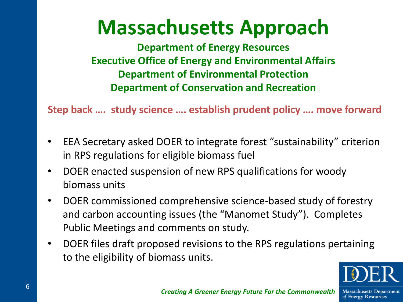## **Massachusetts Approach**

**Department of Energy Resources Executive Office of Energy and Environmental Affairs Department of Environmental Protection Department of Conservation and Recreation**

**Step back …. study science …. establish prudent policy …. move forward**

- EEA Secretary asked DOER to integrate forest "sustainability" criterion in RPS regulations for eligible biomass fuel
- DOER enacted suspension of new RPS qualifications for woody biomass units
- DOER commissioned comprehensive science-based study of forestry and carbon accounting issues (the "Manomet Study"). Completes Public Meetings and comments on study.
- DOER files draft proposed revisions to the RPS regulations pertaining to the eligibility of biomass units.



of Energy Resources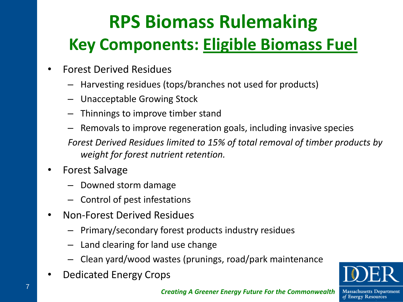## **RPS Biomass Rulemaking Key Components: Eligible Biomass Fuel**

- Forest Derived Residues
	- Harvesting residues (tops/branches not used for products)
	- Unacceptable Growing Stock
	- Thinnings to improve timber stand
	- Removals to improve regeneration goals, including invasive species

*Forest Derived Residues limited to 15% of total removal of timber products by weight for forest nutrient retention.*

- Forest Salvage
	- Downed storm damage
	- Control of pest infestations
- Non-Forest Derived Residues
	- Primary/secondary forest products industry residues
	- Land clearing for land use change
	- Clean yard/wood wastes (prunings, road/park maintenance
- Dedicated Energy Crops



**Massachusetts Department** of Energy Resources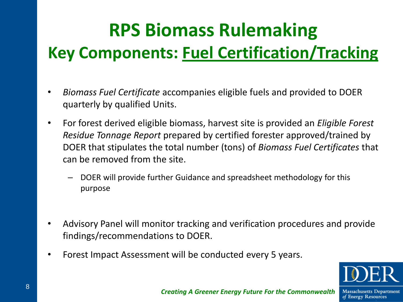### **RPS Biomass Rulemaking**

### **Key Components: Fuel Certification/Tracking**

- *Biomass Fuel Certificate* accompanies eligible fuels and provided to DOER quarterly by qualified Units.
- For forest derived eligible biomass, harvest site is provided an *Eligible Forest Residue Tonnage Report* prepared by certified forester approved/trained by DOER that stipulates the total number (tons) of *Biomass Fuel Certificates* that can be removed from the site.
	- DOER will provide further Guidance and spreadsheet methodology for this purpose
- Advisory Panel will monitor tracking and verification procedures and provide findings/recommendations to DOER.
- Forest Impact Assessment will be conducted every 5 years.



**Massachusetts Department** of Energy Resources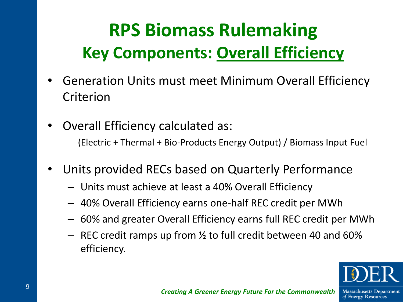### **RPS Biomass Rulemaking Key Components: Overall Efficiency**

- Generation Units must meet Minimum Overall Efficiency Criterion
- Overall Efficiency calculated as:

(Electric + Thermal + Bio-Products Energy Output) / Biomass Input Fuel

- Units provided RECs based on Quarterly Performance
	- Units must achieve at least a 40% Overall Efficiency
	- 40% Overall Efficiency earns one-half REC credit per MWh
	- 60% and greater Overall Efficiency earns full REC credit per MWh
	- $-$  REC credit ramps up from  $\frac{1}{2}$  to full credit between 40 and 60% efficiency.



of Energy Resources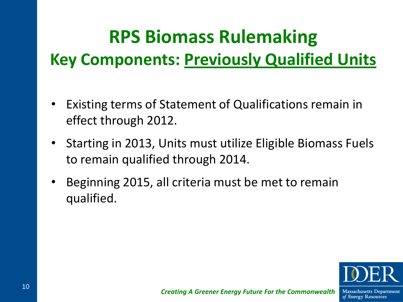### **RPS Biomass Rulemaking**

### **Key Components: Previously Qualified Units**

- Existing terms of Statement of Qualifications remain in effect through 2012.
- Starting in 2013, Units must utilize Eligible Biomass Fuels to remain qualified through 2014.
- Beginning 2015, all criteria must be met to remain qualified.



of Energy Resources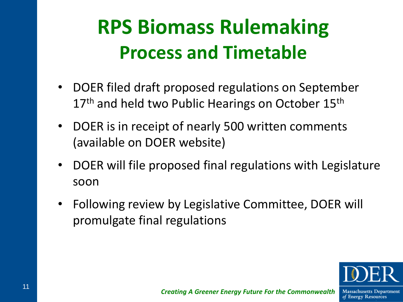## **RPS Biomass Rulemaking Process and Timetable**

- DOER filed draft proposed regulations on September 17<sup>th</sup> and held two Public Hearings on October 15<sup>th</sup>
- DOER is in receipt of nearly 500 written comments (available on DOER website)
- DOER will file proposed final regulations with Legislature soon
- Following review by Legislative Committee, DOER will promulgate final regulations



of Energy Resources